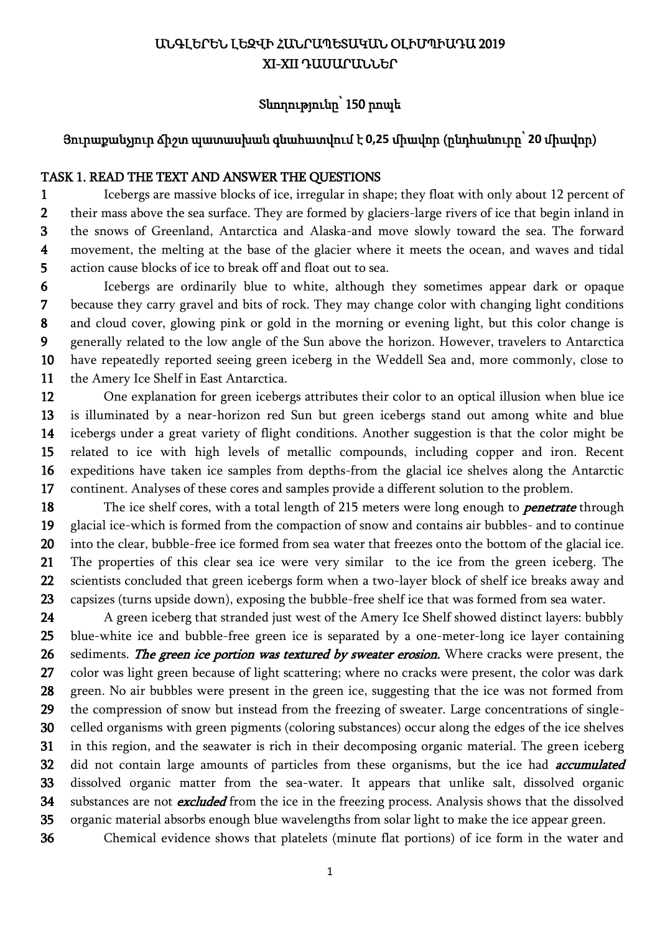# ԱՆԳԼԵՐԵՆ ԼԵԶՎԻ ՀԱՆՐԱՊԵՏԱԿԱՆ ՕԼԻՄՊԻԱԴԱ 2019 XI-XII ԴԱՍԱՐԱՆՆԵՐ

# Տևողությունը՝ 150 րոպե

### Յուրաքանչյուր ճիշտ պատասխան գնահատվում է **0,25** միավոր (ընդհանուրը՝ **20** միավոր)

### TASK 1. READ THE TEXT AND ANSWER THE QUESTIONS

1 2 3 4 5 Icebergs are massive blocks of ice, irregular in shape; they float with only about 12 percent of their mass above the sea surface. They are formed by glaciers-large rivers of ice that begin inland in the snows of Greenland, Antarctica and Alaska-and move slowly toward the sea. The forward movement, the melting at the base of the glacier where it meets the ocean, and waves and tidal action cause blocks of ice to break off and float out to sea.

6 7 8 9 10 11 Icebergs are ordinarily blue to white, although they sometimes appear dark or opaque because they carry gravel and bits of rock. They may change color with changing light conditions and cloud cover, glowing pink or gold in the morning or evening light, but this color change is generally related to the low angle of the Sun above the horizon. However, travelers to Antarctica have repeatedly reported seeing green iceberg in the Weddell Sea and, more commonly, close to the Amery Ice Shelf in East Antarctica.

12 13 14 15 16 17 One explanation for green icebergs attributes their color to an optical illusion when blue ice is illuminated by a near-horizon red Sun but green icebergs stand out among white and blue icebergs under a great variety of flight conditions. Another suggestion is that the color might be related to ice with high levels of metallic compounds, including copper and iron. Recent expeditions have taken ice samples from depths-from the glacial ice shelves along the Antarctic continent. Analyses of these cores and samples provide a different solution to the problem.

18 19 20 21 22 23 The ice shelf cores, with a total length of 215 meters were long enough to *penetrate* through glacial ice-which is formed from the compaction of snow and contains air bubbles- and to continue into the clear, bubble-free ice formed from sea water that freezes onto the bottom of the glacial ice. The properties of this clear sea ice were very similar to the ice from the green iceberg. The scientists concluded that green icebergs form when a two-layer block of shelf ice breaks away and capsizes (turns upside down), exposing the bubble-free shelf ice that was formed from sea water.

24 25 26 27 28 29 30 31 32 33 34 35 A green iceberg that stranded just west of the Amery Ice Shelf showed distinct layers: bubbly blue-white ice and bubble-free green ice is separated by a one-meter-long ice layer containing sediments. The green ice portion was textured by sweater erosion. Where cracks were present, the color was light green because of light scattering; where no cracks were present, the color was dark green. No air bubbles were present in the green ice, suggesting that the ice was not formed from the compression of snow but instead from the freezing of sweater. Large concentrations of singlecelled organisms with green pigments (coloring substances) occur along the edges of the ice shelves in this region, and the seawater is rich in their decomposing organic material. The green iceberg did not contain large amounts of particles from these organisms, but the ice had *accumulated* dissolved organic matter from the sea-water. It appears that unlike salt, dissolved organic substances are not **excluded** from the ice in the freezing process. Analysis shows that the dissolved organic material absorbs enough blue wavelengths from solar light to make the ice appear green.

36 Chemical evidence shows that platelets (minute flat portions) of ice form in the water and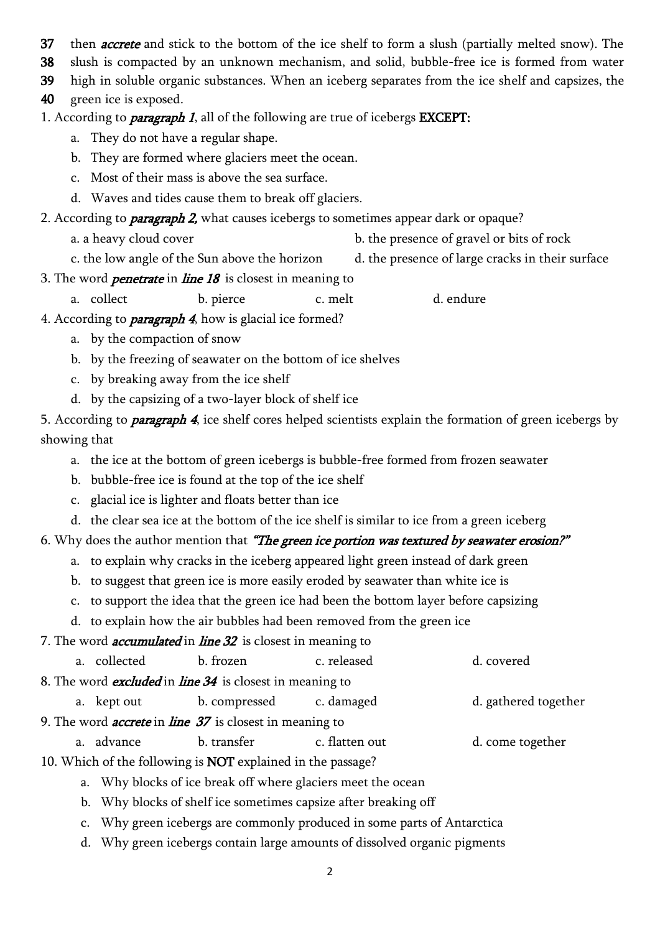37 then *accrete* and stick to the bottom of the ice shelf to form a slush (partially melted snow). The

38 slush is compacted by an unknown mechanism, and solid, bubble-free ice is formed from water

39 high in soluble organic substances. When an iceberg separates from the ice shelf and capsizes, the

40 green ice is exposed.

1. According to *paragraph 1*, all of the following are true of icebergs **EXCEPT**:

- a. They do not have a regular shape.
- b. They are formed where glaciers meet the ocean.
- c. Most of their mass is above the sea surface.
- d. Waves and tides cause them to break off glaciers.

2. According to *paragraph 2*, what causes icebergs to sometimes appear dark or opaque?

- a. a heavy cloud cover b. the presence of gravel or bits of rock
- c. the low angle of the Sun above the horizon d. the presence of large cracks in their surface
- 3. The word *penetrate* in *line 18* is closest in meaning to
	- a. collect b. pierce c. melt d. endure
- 4. According to *paragraph 4*, how is glacial ice formed?
	- a. by the compaction of snow
	- b. by the freezing of seawater on the bottom of ice shelves
	- c. by breaking away from the ice shelf
	- d. by the capsizing of a two-layer block of shelf ice

5. According to **paragraph 4**, ice shelf cores helped scientists explain the formation of green icebergs by showing that

- a. the ice at the bottom of green icebergs is bubble-free formed from frozen seawater
- b. bubble-free ice is found at the top of the ice shelf
- c. glacial ice is lighter and floats better than ice
- d. the clear sea ice at the bottom of the ice shelf is similar to ice from a green iceberg

### 6. Why does the author mention that "The green ice portion was textured by seawater erosion?"

- a. to explain why cracks in the iceberg appeared light green instead of dark green
- b. to suggest that green ice is more easily eroded by seawater than white ice is
- c. to support the idea that the green ice had been the bottom layer before capsizing

d. to explain how the air bubbles had been removed from the green ice

### 7. The word *accumulated* in *line 32* is closest in meaning to

|                                                              |                                                                        | a. collected | b. frozen                                                          | c. released    | d. covered           |  |
|--------------------------------------------------------------|------------------------------------------------------------------------|--------------|--------------------------------------------------------------------|----------------|----------------------|--|
|                                                              | 8. The word <i>excluded</i> in <i>line 34</i> is closest in meaning to |              |                                                                    |                |                      |  |
|                                                              |                                                                        | a. kept out  | b. compressed                                                      | c. damaged     | d. gathered together |  |
|                                                              | 9. The word <i>accrete</i> in <i>line 37</i> is closest in meaning to  |              |                                                                    |                |                      |  |
|                                                              |                                                                        | a. advance   | b. transfer                                                        | c. flatten out | d. come together     |  |
|                                                              |                                                                        |              | 10. Which of the following is <b>NOT</b> explained in the passage? |                |                      |  |
| a. Why blocks of ice break off where glaciers meet the ocean |                                                                        |              |                                                                    |                |                      |  |
|                                                              | b. Why blocks of shelf ice sometimes capsize after breaking off        |              |                                                                    |                |                      |  |

- c. Why green icebergs are commonly produced in some parts of Antarctica
- d. Why green icebergs contain large amounts of dissolved organic pigments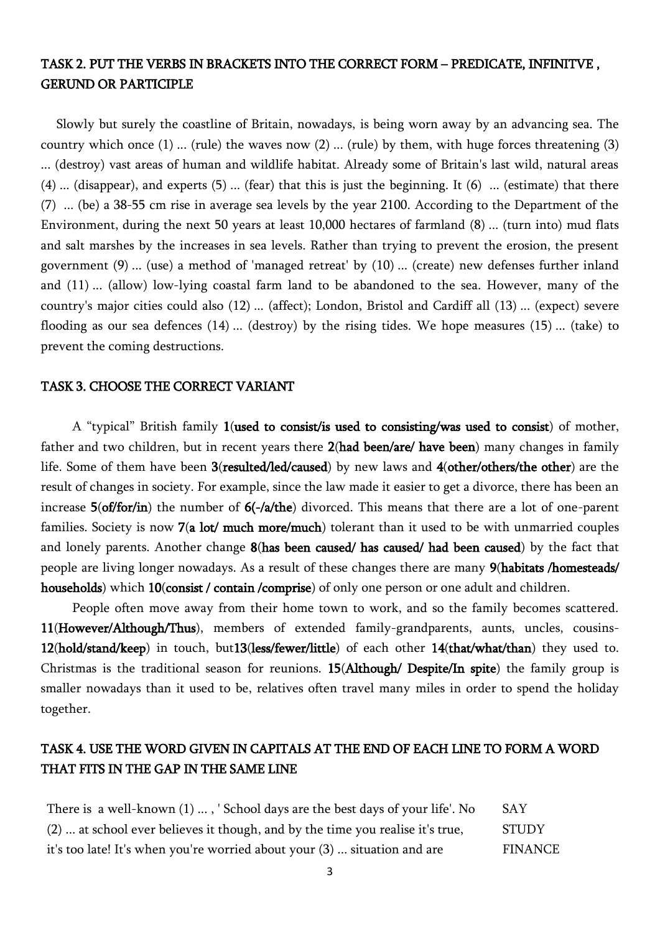### TASK 2. PUT THE VERBS IN BRACKETS INTO THE CORRECT FORM – PREDICATE, INFINITVE , GERUND OR PARTICIPLE

Slowly but surely the coastline of Britain, nowadays, is being worn away by an advancing sea. The country which once (1) ... (rule) the waves now (2) ... (rule) by them, with huge forces threatening (3) ... (destroy) vast areas of human and wildlife habitat. Already some of Britain's last wild, natural areas (4) ... (disappear), and experts (5) ... (fear) that this is just the beginning. It (6) ... (estimate) that there (7) ... (be) a 38-55 cm rise in average sea levels by the year 2100. According to the Department of the Environment, during the next 50 years at least 10,000 hectares of farmland (8) ... (turn into) mud flats and salt marshes by the increases in sea levels. Rather than trying to prevent the erosion, the present government (9) ... (use) a method of 'managed retreat' by (10) ... (create) new defenses further inland and (11) ... (allow) low-lying coastal farm land to be abandoned to the sea. However, many of the country's major cities could also (12) ... (affect); London, Bristol and Cardiff all (13) ... (expect) severe flooding as our sea defences (14) ... (destroy) by the rising tides. We hope measures (15) ... (take) to prevent the coming destructions.

#### TASK 3. CHOOSE THE CORRECT VARIANT

A "typical" British family 1(used to consist/is used to consisting/was used to consist) of mother, father and two children, but in recent years there 2(had been/are/ have been) many changes in family life. Some of them have been 3(resulted/led/caused) by new laws and 4(other/others/the other) are the result of changes in society. For example, since the law made it easier to get a divorce, there has been an increase 5(of/for/in) the number of 6(-/a/the) divorced. This means that there are a lot of one-parent families. Society is now 7(a lot/ much more/much) tolerant than it used to be with unmarried couples and lonely parents. Another change 8(has been caused/ has caused/ had been caused) by the fact that people are living longer nowadays. As a result of these changes there are many 9(habitats /homesteads/ households) which 10(consist / contain /comprise) of only one person or one adult and children.

People often move away from their home town to work, and so the family becomes scattered. 11(However/Although/Thus), members of extended family-grandparents, aunts, uncles, cousins-12(hold/stand/keep) in touch, but13(less/fewer/little) of each other 14(that/what/than) they used to. Christmas is the traditional season for reunions. 15(Although/ Despite/In spite) the family group is smaller nowadays than it used to be, relatives often travel many miles in order to spend the holiday together.

### TASK 4. USE THE WORD GIVEN IN CAPITALS AT THE END OF EACH LINE TO FORM A WORD THAT FITS IN THE GAP IN THE SAME LINE

| There is a well-known $(1)$ , ' School days are the best days of your life'. No | <b>SAY</b> |
|---------------------------------------------------------------------------------|------------|
| (2)  at school ever believes it though, and by the time you realise it's true,  | STUDY      |
| it's too late! It's when you're worried about your (3)  situation and are       | FINANCE    |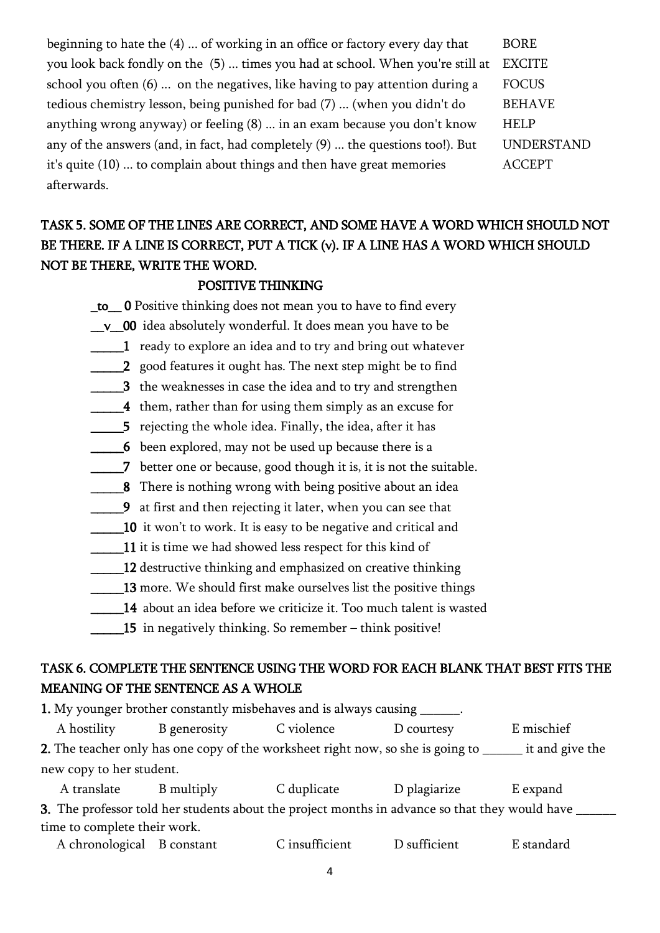beginning to hate the  $(4)$  ... of working in an office or factory every day that BORE you look back fondly on the (5) ... times you had at school. When you're still at EXCITE school you often  $(6)$  ... on the negatives, like having to pay attention during a FOCUS tedious chemistry lesson, being punished for bad (7) ... (when you didn't do BEHAVE anything wrong anyway) or feeling (8) ... in an exam because you don't know HELP any of the answers (and, in fact, had completely (9) ... the questions too!). But UNDERSTAND it's quite (10) ... to complain about things and then have great memories ACCEPT afterwards.

# TASK 5. SOME OF THE LINES ARE CORRECT, AND SOME HAVE A WORD WHICH SHOULD NOT BE THERE. IF A LINE IS CORRECT, PUT A TICK (ν). IF A LINE HAS A WORD WHICH SHOULD NOT BE THERE, WRITE THE WORD.

### POSITIVE THINKING

\_to\_\_ 0 Positive thinking does not mean you to have to find every

\_v\_00 idea absolutely wonderful. It does mean you have to be

\_\_\_\_\_1 ready to explore an idea and to try and bring out whatever

\_\_\_\_\_2 good features it ought has. The next step might be to find

3 the weaknesses in case the idea and to try and strengthen

4 them, rather than for using them simply as an excuse for

**\_\_\_\_\_5** rejecting the whole idea. Finally, the idea, after it has

6 been explored, may not be used up because there is a

\_\_\_\_\_7 better one or because, good though it is, it is not the suitable.

**\_\_\_8** There is nothing wrong with being positive about an idea

\_\_\_\_\_9 at first and then rejecting it later, when you can see that

10 it won't to work. It is easy to be negative and critical and

11 it is time we had showed less respect for this kind of

12 destructive thinking and emphasized on creative thinking

13 more. We should first make ourselves list the positive things

\_\_\_\_\_14 about an idea before we criticize it. Too much talent is wasted

 $\_15$  in negatively thinking. So remember – think positive!

### TASK 6. COMPLETE THE SENTENCE USING THE WORD FOR EACH BLANK THAT BEST FITS THE MEANING OF THE SENTENCE AS A WHOLE

| 1. My younger brother constantly misbehaves and is always causing ______.                                 |              |             |                                                                                                      |            |  |
|-----------------------------------------------------------------------------------------------------------|--------------|-------------|------------------------------------------------------------------------------------------------------|------------|--|
| A hostility                                                                                               | B generosity | C violence  | D courtesy                                                                                           | E mischief |  |
| it and give the<br><b>2.</b> The teacher only has one copy of the worksheet right now, so she is going to |              |             |                                                                                                      |            |  |
| new copy to her student.                                                                                  |              |             |                                                                                                      |            |  |
| A translate                                                                                               | B multiply   | C duplicate | D plagiarize                                                                                         | E expand   |  |
|                                                                                                           |              |             | <b>3</b> The professor told ber students about the project months in advance so that they would have |            |  |

3. The professor told her students about the project months in advance so that they would have \_\_\_\_\_\_ time to complete their work.

A chronological B constant C insufficient D sufficient E standard